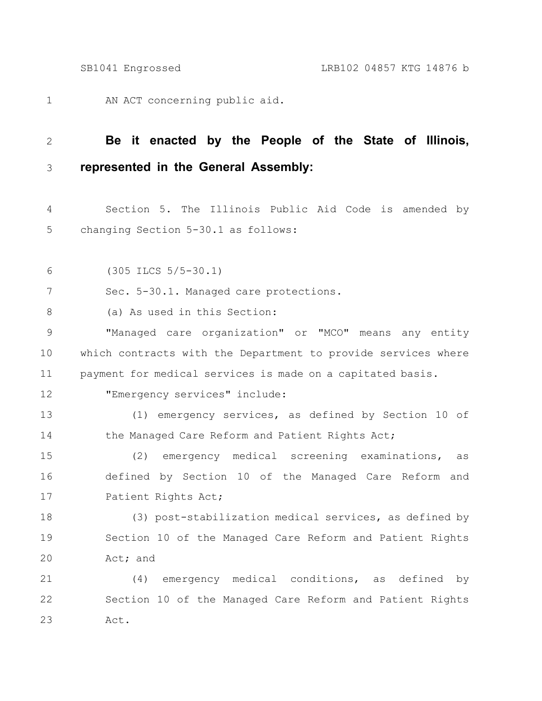AN ACT concerning public aid. 1

## **Be it enacted by the People of the State of Illinois, represented in the General Assembly:** 2 3

Section 5. The Illinois Public Aid Code is amended by changing Section 5-30.1 as follows: 4 5

(305 ILCS 5/5-30.1) 6

Sec. 5-30.1. Managed care protections. 7

(a) As used in this Section: 8

"Managed care organization" or "MCO" means any entity which contracts with the Department to provide services where payment for medical services is made on a capitated basis. 9 10 11

12

"Emergency services" include:

(1) emergency services, as defined by Section 10 of the Managed Care Reform and Patient Rights Act; 13 14

(2) emergency medical screening examinations, as defined by Section 10 of the Managed Care Reform and Patient Rights Act; 15 16 17

(3) post-stabilization medical services, as defined by Section 10 of the Managed Care Reform and Patient Rights Act; and 18 19 20

(4) emergency medical conditions, as defined by Section 10 of the Managed Care Reform and Patient Rights Act. 21 22 23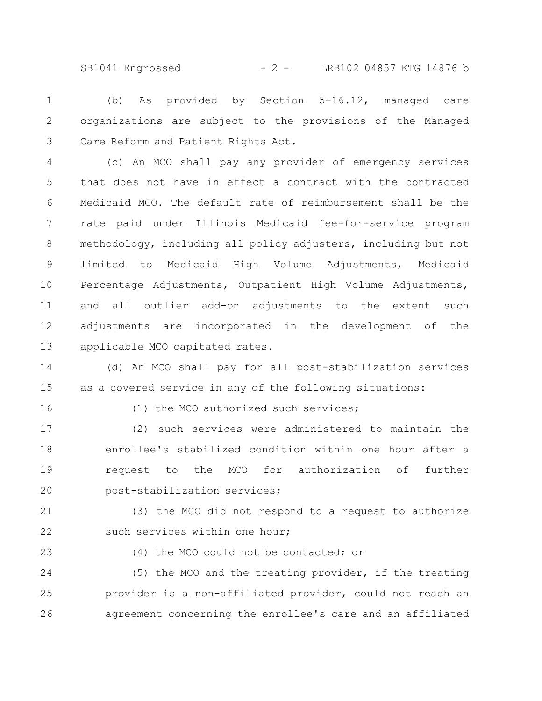SB1041 Engrossed - 2 - LRB102 04857 KTG 14876 b

(b) As provided by Section 5-16.12, managed care organizations are subject to the provisions of the Managed Care Reform and Patient Rights Act. 1 2 3

(c) An MCO shall pay any provider of emergency services that does not have in effect a contract with the contracted Medicaid MCO. The default rate of reimbursement shall be the rate paid under Illinois Medicaid fee-for-service program methodology, including all policy adjusters, including but not limited to Medicaid High Volume Adjustments, Medicaid Percentage Adjustments, Outpatient High Volume Adjustments, and all outlier add-on adjustments to the extent such adjustments are incorporated in the development of the applicable MCO capitated rates. 4 5 6 7 8 9 10 11 12 13

(d) An MCO shall pay for all post-stabilization services as a covered service in any of the following situations: 14 15

16

(1) the MCO authorized such services;

(2) such services were administered to maintain the enrollee's stabilized condition within one hour after a request to the MCO for authorization of further post-stabilization services; 17 18 19 20

(3) the MCO did not respond to a request to authorize such services within one hour; 21 22

23

(4) the MCO could not be contacted; or

(5) the MCO and the treating provider, if the treating provider is a non-affiliated provider, could not reach an agreement concerning the enrollee's care and an affiliated 24 25 26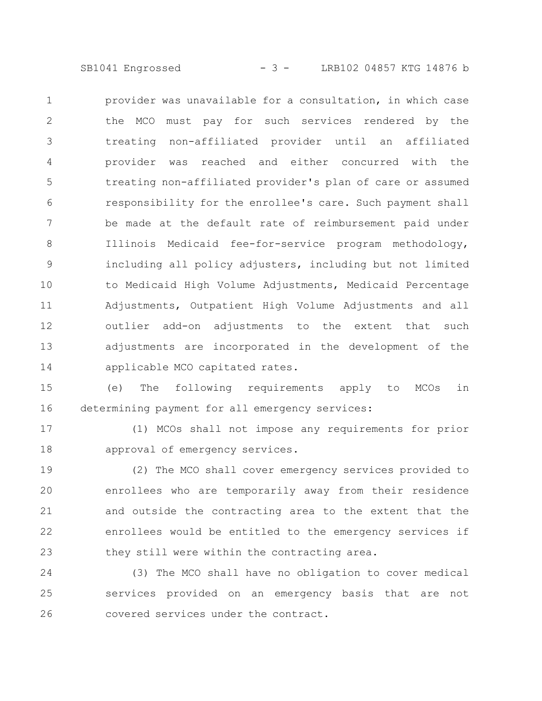SB1041 Engrossed - 3 - LRB102 04857 KTG 14876 b

provider was unavailable for a consultation, in which case the MCO must pay for such services rendered by the treating non-affiliated provider until an affiliated provider was reached and either concurred with the treating non-affiliated provider's plan of care or assumed responsibility for the enrollee's care. Such payment shall be made at the default rate of reimbursement paid under Illinois Medicaid fee-for-service program methodology, including all policy adjusters, including but not limited to Medicaid High Volume Adjustments, Medicaid Percentage Adjustments, Outpatient High Volume Adjustments and all outlier add-on adjustments to the extent that such adjustments are incorporated in the development of the applicable MCO capitated rates. 1 2 3 4 5 6 7 8 9 10 11 12 13 14

(e) The following requirements apply to MCOs in determining payment for all emergency services: 15 16

(1) MCOs shall not impose any requirements for prior approval of emergency services. 17 18

(2) The MCO shall cover emergency services provided to enrollees who are temporarily away from their residence and outside the contracting area to the extent that the enrollees would be entitled to the emergency services if they still were within the contracting area. 19 20 21 22 23

(3) The MCO shall have no obligation to cover medical services provided on an emergency basis that are not covered services under the contract. 24 25 26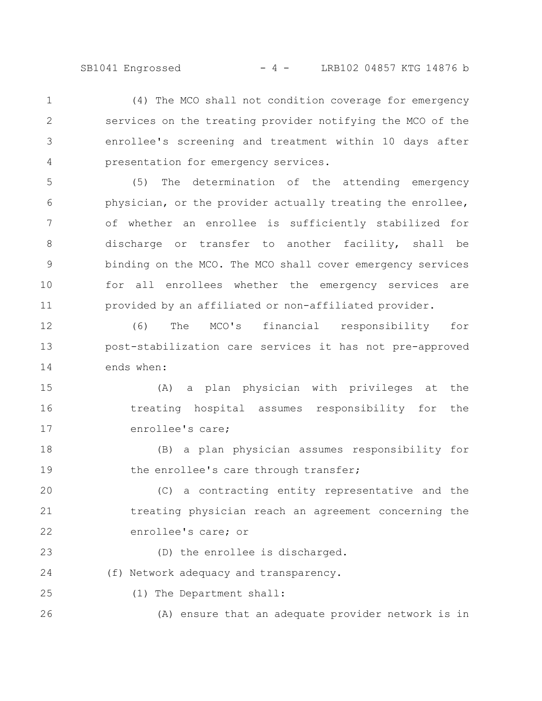(4) The MCO shall not condition coverage for emergency services on the treating provider notifying the MCO of the enrollee's screening and treatment within 10 days after presentation for emergency services. 1 2 3 4

(5) The determination of the attending emergency physician, or the provider actually treating the enrollee, of whether an enrollee is sufficiently stabilized for discharge or transfer to another facility, shall be binding on the MCO. The MCO shall cover emergency services for all enrollees whether the emergency services are provided by an affiliated or non-affiliated provider. 5 6 7 8 9 10 11

(6) The MCO's financial responsibility for post-stabilization care services it has not pre-approved ends when: 12 13 14

(A) a plan physician with privileges at the treating hospital assumes responsibility for the enrollee's care; 15 16 17

(B) a plan physician assumes responsibility for the enrollee's care through transfer; 18 19

(C) a contracting entity representative and the treating physician reach an agreement concerning the enrollee's care; or 20 21 22

(D) the enrollee is discharged. 23

(f) Network adequacy and transparency. 24

(1) The Department shall: 25

(A) ensure that an adequate provider network is in 26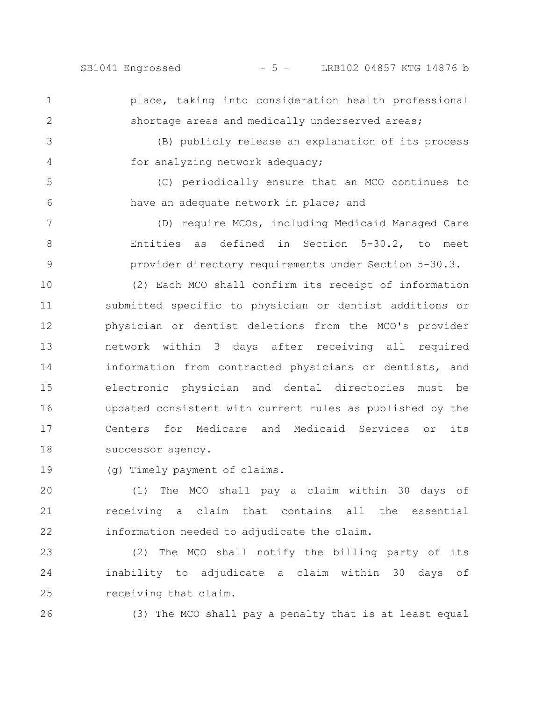SB1041 Engrossed - 5 - LRB102 04857 KTG 14876 b

1 2

3

4

5

6

place, taking into consideration health professional shortage areas and medically underserved areas;

(B) publicly release an explanation of its process for analyzing network adequacy;

(C) periodically ensure that an MCO continues to have an adequate network in place; and

(D) require MCOs, including Medicaid Managed Care Entities as defined in Section 5-30.2, to meet provider directory requirements under Section 5-30.3. 7 8 9

(2) Each MCO shall confirm its receipt of information submitted specific to physician or dentist additions or physician or dentist deletions from the MCO's provider network within 3 days after receiving all required information from contracted physicians or dentists, and electronic physician and dental directories must be updated consistent with current rules as published by the Centers for Medicare and Medicaid Services or its successor agency. 10 11 12 13 14 15 16 17 18

(g) Timely payment of claims. 19

(1) The MCO shall pay a claim within 30 days of receiving a claim that contains all the essential information needed to adjudicate the claim. 20 21 22

(2) The MCO shall notify the billing party of its inability to adjudicate a claim within 30 days of receiving that claim. 23 24 25

26

(3) The MCO shall pay a penalty that is at least equal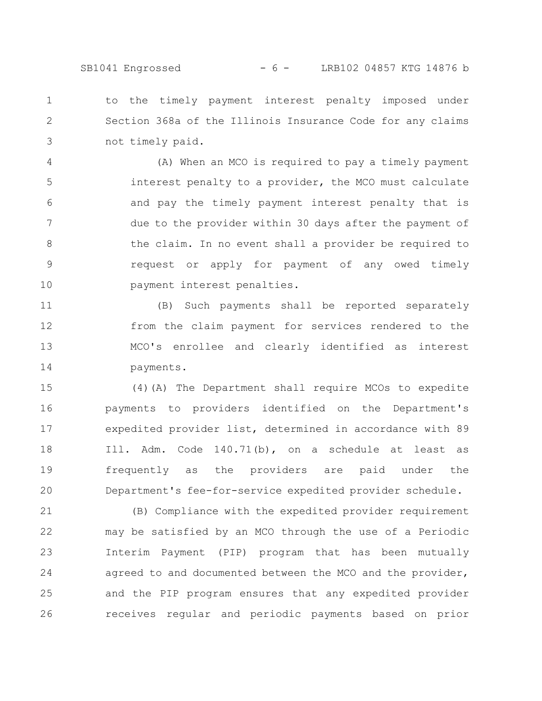to the timely payment interest penalty imposed under Section 368a of the Illinois Insurance Code for any claims not timely paid. 1 2 3

(A) When an MCO is required to pay a timely payment interest penalty to a provider, the MCO must calculate and pay the timely payment interest penalty that is due to the provider within 30 days after the payment of the claim. In no event shall a provider be required to request or apply for payment of any owed timely payment interest penalties. 4 5 6 7 8 9 10

(B) Such payments shall be reported separately from the claim payment for services rendered to the MCO's enrollee and clearly identified as interest payments. 11 12 13 14

(4)(A) The Department shall require MCOs to expedite payments to providers identified on the Department's expedited provider list, determined in accordance with 89 Ill. Adm. Code 140.71(b), on a schedule at least as frequently as the providers are paid under the Department's fee-for-service expedited provider schedule. 15 16 17 18 19 20

(B) Compliance with the expedited provider requirement may be satisfied by an MCO through the use of a Periodic Interim Payment (PIP) program that has been mutually agreed to and documented between the MCO and the provider, and the PIP program ensures that any expedited provider receives regular and periodic payments based on prior 21 22 23 24 25 26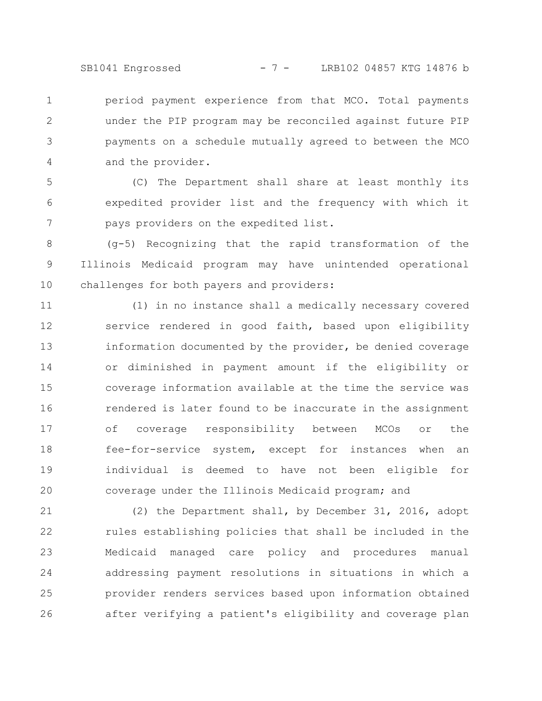SB1041 Engrossed - 7 - LRB102 04857 KTG 14876 b

period payment experience from that MCO. Total payments under the PIP program may be reconciled against future PIP payments on a schedule mutually agreed to between the MCO and the provider. 1 2 3 4

(C) The Department shall share at least monthly its expedited provider list and the frequency with which it pays providers on the expedited list. 5 6 7

(g-5) Recognizing that the rapid transformation of the Illinois Medicaid program may have unintended operational challenges for both payers and providers: 8 9 10

(1) in no instance shall a medically necessary covered service rendered in good faith, based upon eligibility information documented by the provider, be denied coverage or diminished in payment amount if the eligibility or coverage information available at the time the service was rendered is later found to be inaccurate in the assignment of coverage responsibility between MCOs or the fee-for-service system, except for instances when an individual is deemed to have not been eligible for coverage under the Illinois Medicaid program; and 11 12 13 14 15 16 17 18 19 20

(2) the Department shall, by December 31, 2016, adopt rules establishing policies that shall be included in the Medicaid managed care policy and procedures manual addressing payment resolutions in situations in which a provider renders services based upon information obtained after verifying a patient's eligibility and coverage plan 21 22 23 24 25 26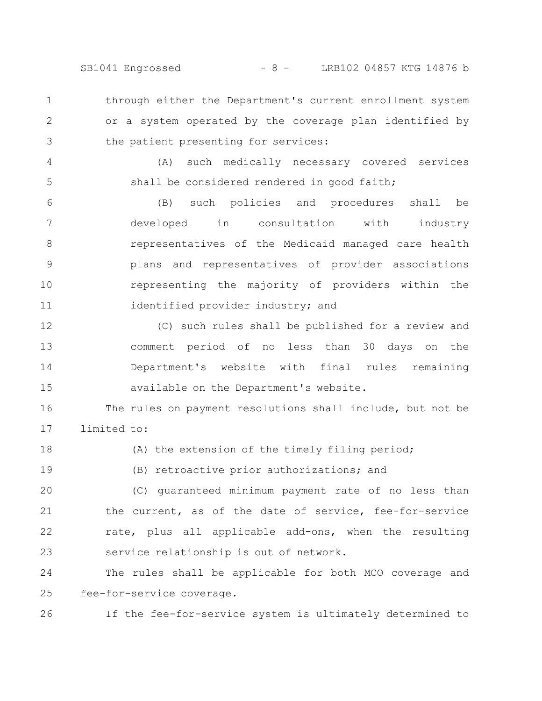SB1041 Engrossed - 8 - LRB102 04857 KTG 14876 b

through either the Department's current enrollment system or a system operated by the coverage plan identified by the patient presenting for services: 1 2 3

(A) such medically necessary covered services shall be considered rendered in good faith;

4

5

(B) such policies and procedures shall be developed in consultation with industry representatives of the Medicaid managed care health plans and representatives of provider associations representing the majority of providers within the identified provider industry; and 6 7 8 9 10 11

(C) such rules shall be published for a review and comment period of no less than 30 days on the Department's website with final rules remaining available on the Department's website. 12 13 14 15

The rules on payment resolutions shall include, but not be limited to: 16 17

(A) the extension of the timely filing period; 18

(B) retroactive prior authorizations; and 19

(C) guaranteed minimum payment rate of no less than the current, as of the date of service, fee-for-service rate, plus all applicable add-ons, when the resulting service relationship is out of network. 20 21 22 23

The rules shall be applicable for both MCO coverage and fee-for-service coverage. 24 25

If the fee-for-service system is ultimately determined to 26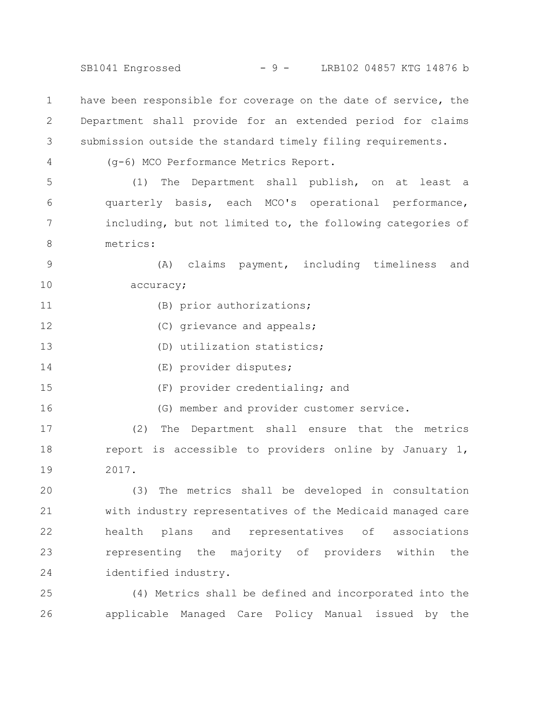SB1041 Engrossed - 9 - LRB102 04857 KTG 14876 b

have been responsible for coverage on the date of service, the Department shall provide for an extended period for claims submission outside the standard timely filing requirements. 1 2 3

4

16

(g-6) MCO Performance Metrics Report.

(1) The Department shall publish, on at least a quarterly basis, each MCO's operational performance, including, but not limited to, the following categories of metrics: 5 6 7 8

(A) claims payment, including timeliness and accuracy; 9 10

- (B) prior authorizations; 11
- (C) grievance and appeals; 12
- (D) utilization statistics; 13
- (E) provider disputes; 14
- (F) provider credentialing; and 15

(G) member and provider customer service.

(2) The Department shall ensure that the metrics report is accessible to providers online by January 1, 2017. 17 18 19

(3) The metrics shall be developed in consultation with industry representatives of the Medicaid managed care health plans and representatives of associations representing the majority of providers within the identified industry. 20 21 22 23 24

(4) Metrics shall be defined and incorporated into the applicable Managed Care Policy Manual issued by the 25 26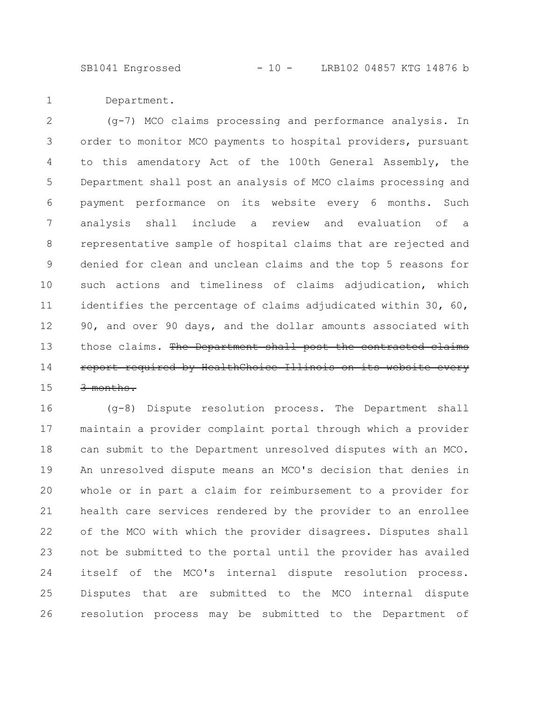SB1041 Engrossed - 10 - LRB102 04857 KTG 14876 b

Department. 1

(g-7) MCO claims processing and performance analysis. In order to monitor MCO payments to hospital providers, pursuant to this amendatory Act of the 100th General Assembly, the Department shall post an analysis of MCO claims processing and payment performance on its website every 6 months. Such analysis shall include a review and evaluation of a representative sample of hospital claims that are rejected and denied for clean and unclean claims and the top 5 reasons for such actions and timeliness of claims adjudication, which identifies the percentage of claims adjudicated within 30, 60, 90, and over 90 days, and the dollar amounts associated with those claims. The Department shall post the contracted claims report required by HealthChoice Illinois on its website every 3 months. 2 3 4 5 6 7 8 9 10 11 12 13 14 15

(g-8) Dispute resolution process. The Department shall maintain a provider complaint portal through which a provider can submit to the Department unresolved disputes with an MCO. An unresolved dispute means an MCO's decision that denies in whole or in part a claim for reimbursement to a provider for health care services rendered by the provider to an enrollee of the MCO with which the provider disagrees. Disputes shall not be submitted to the portal until the provider has availed itself of the MCO's internal dispute resolution process. Disputes that are submitted to the MCO internal dispute resolution process may be submitted to the Department of 16 17 18 19 20 21 22 23 24 25 26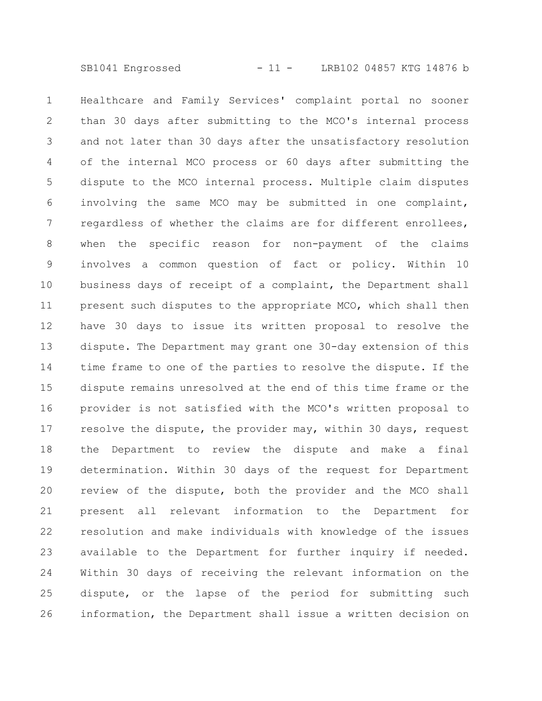SB1041 Engrossed - 11 - LRB102 04857 KTG 14876 b

Healthcare and Family Services' complaint portal no sooner than 30 days after submitting to the MCO's internal process and not later than 30 days after the unsatisfactory resolution of the internal MCO process or 60 days after submitting the dispute to the MCO internal process. Multiple claim disputes involving the same MCO may be submitted in one complaint, regardless of whether the claims are for different enrollees, when the specific reason for non-payment of the claims involves a common question of fact or policy. Within 10 business days of receipt of a complaint, the Department shall present such disputes to the appropriate MCO, which shall then have 30 days to issue its written proposal to resolve the dispute. The Department may grant one 30-day extension of this time frame to one of the parties to resolve the dispute. If the dispute remains unresolved at the end of this time frame or the provider is not satisfied with the MCO's written proposal to resolve the dispute, the provider may, within 30 days, request the Department to review the dispute and make a final determination. Within 30 days of the request for Department review of the dispute, both the provider and the MCO shall present all relevant information to the Department for resolution and make individuals with knowledge of the issues available to the Department for further inquiry if needed. Within 30 days of receiving the relevant information on the dispute, or the lapse of the period for submitting such information, the Department shall issue a written decision on 1 2 3 4 5 6 7 8 9 10 11 12 13 14 15 16 17 18 19 20 21 22 23 24 25 26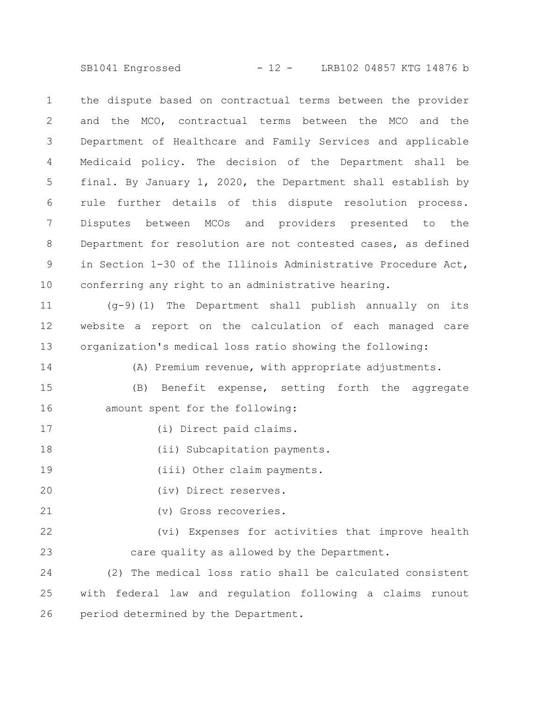SB1041 Engrossed - 12 - LRB102 04857 KTG 14876 b

the dispute based on contractual terms between the provider and the MCO, contractual terms between the MCO and the Department of Healthcare and Family Services and applicable Medicaid policy. The decision of the Department shall be final. By January 1, 2020, the Department shall establish by rule further details of this dispute resolution process. Disputes between MCOs and providers presented to the Department for resolution are not contested cases, as defined in Section 1-30 of the Illinois Administrative Procedure Act, conferring any right to an administrative hearing. 1 2 3 4 5 6 7 8 9 10

(g-9)(1) The Department shall publish annually on its website a report on the calculation of each managed care organization's medical loss ratio showing the following: 11 12 13

(A) Premium revenue, with appropriate adjustments. 14

(B) Benefit expense, setting forth the aggregate amount spent for the following: 15 16

(i) Direct paid claims.

(ii) Subcapitation payments. 18

(iii) Other claim payments. 19

(iv) Direct reserves. 20

17

(v) Gross recoveries. 21

(vi) Expenses for activities that improve health care quality as allowed by the Department. 22 23

(2) The medical loss ratio shall be calculated consistent with federal law and regulation following a claims runout period determined by the Department. 24 25 26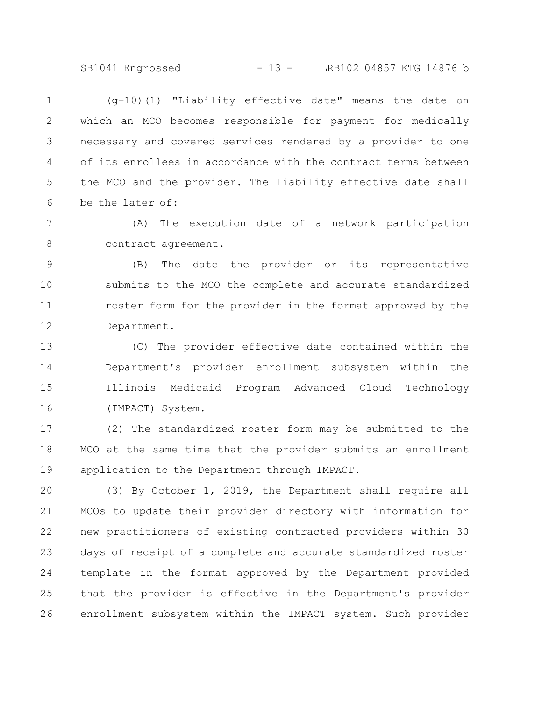SB1041 Engrossed - 13 - LRB102 04857 KTG 14876 b

(g-10)(1) "Liability effective date" means the date on which an MCO becomes responsible for payment for medically necessary and covered services rendered by a provider to one of its enrollees in accordance with the contract terms between the MCO and the provider. The liability effective date shall be the later of: 1 2 3 4 5 6

(A) The execution date of a network participation contract agreement. 7 8

(B) The date the provider or its representative submits to the MCO the complete and accurate standardized roster form for the provider in the format approved by the Department. 9 10 11 12

(C) The provider effective date contained within the Department's provider enrollment subsystem within the Illinois Medicaid Program Advanced Cloud Technology (IMPACT) System. 13 14 15 16

(2) The standardized roster form may be submitted to the MCO at the same time that the provider submits an enrollment application to the Department through IMPACT. 17 18 19

(3) By October 1, 2019, the Department shall require all MCOs to update their provider directory with information for new practitioners of existing contracted providers within 30 days of receipt of a complete and accurate standardized roster template in the format approved by the Department provided that the provider is effective in the Department's provider enrollment subsystem within the IMPACT system. Such provider 20 21 22 23 24 25 26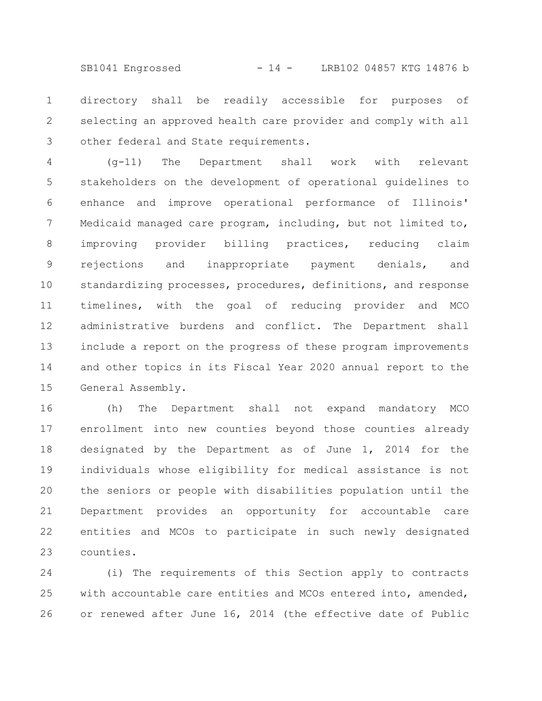SB1041 Engrossed - 14 - LRB102 04857 KTG 14876 b

directory shall be readily accessible for purposes of selecting an approved health care provider and comply with all other federal and State requirements. 1 2 3

(g-11) The Department shall work with relevant stakeholders on the development of operational guidelines to enhance and improve operational performance of Illinois' Medicaid managed care program, including, but not limited to, improving provider billing practices, reducing claim rejections and inappropriate payment denials, and standardizing processes, procedures, definitions, and response timelines, with the goal of reducing provider and MCO administrative burdens and conflict. The Department shall include a report on the progress of these program improvements and other topics in its Fiscal Year 2020 annual report to the General Assembly. 4 5 6 7 8 9 10 11 12 13 14 15

(h) The Department shall not expand mandatory MCO enrollment into new counties beyond those counties already designated by the Department as of June 1, 2014 for the individuals whose eligibility for medical assistance is not the seniors or people with disabilities population until the Department provides an opportunity for accountable care entities and MCOs to participate in such newly designated counties. 16 17 18 19 20 21 22 23

(i) The requirements of this Section apply to contracts with accountable care entities and MCOs entered into, amended, or renewed after June 16, 2014 (the effective date of Public 24 25 26